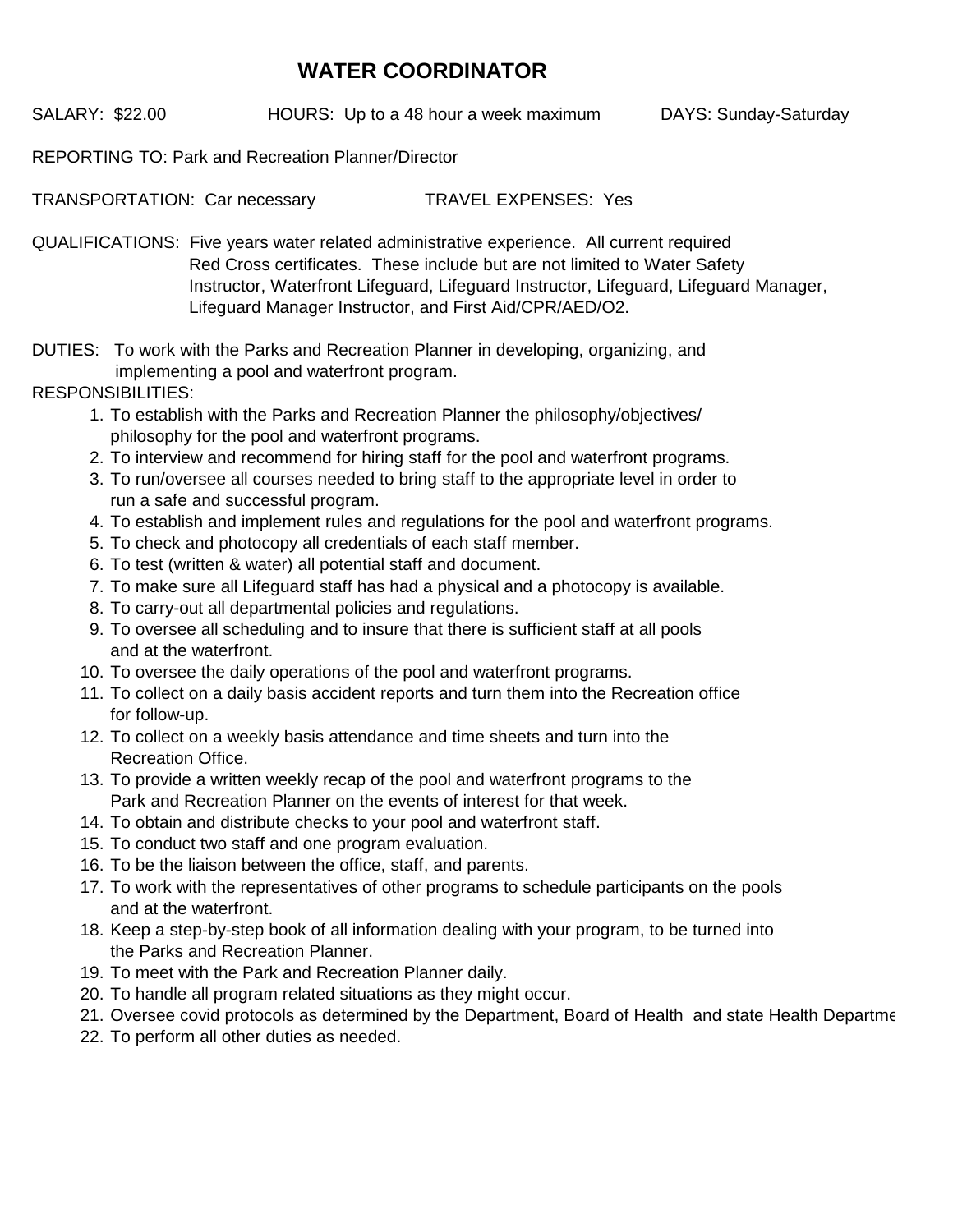## **WATER COORDINATOR**

SALARY: \$22.00 HOURS: Up to a 48 hour a week maximum DAYS: Sunday-Saturday

REPORTING TO: Park and Recreation Planner/Director

TRANSPORTATION: Car necessary TRAVEL EXPENSES: Yes

QUALIFICATIONS: Five years water related administrative experience. All current required Red Cross certificates. These include but are not limited to Water Safety Lifeguard Manager Instructor, and First Aid/CPR/AED/O2. Instructor, Waterfront Lifeguard, Lifeguard Instructor, Lifeguard, Lifeguard Manager,

DUTIES: To work with the Parks and Recreation Planner in developing, organizing, and implementing a pool and waterfront program.

## RESPONSIBILITIES:

- 1. To establish with the Parks and Recreation Planner the philosophy/objectives/ philosophy for the pool and waterfront programs.
- 2. To interview and recommend for hiring staff for the pool and waterfront programs.
- 3. To run/oversee all courses needed to bring staff to the appropriate level in order to run a safe and successful program.
- 4. To establish and implement rules and regulations for the pool and waterfront programs.
- 5. To check and photocopy all credentials of each staff member.
- 6. To test (written & water) all potential staff and document.
- 7. To make sure all Lifeguard staff has had a physical and a photocopy is available.
- 8. To carry-out all departmental policies and regulations.
- 9. To oversee all scheduling and to insure that there is sufficient staff at all pools and at the waterfront.
- 10. To oversee the daily operations of the pool and waterfront programs.
- 11. To collect on a daily basis accident reports and turn them into the Recreation office for follow-up.
- 12. To collect on a weekly basis attendance and time sheets and turn into the Recreation Office.
- 13. To provide a written weekly recap of the pool and waterfront programs to the Park and Recreation Planner on the events of interest for that week.
- 14. To obtain and distribute checks to your pool and waterfront staff.
- 15. To conduct two staff and one program evaluation.
- 16. To be the liaison between the office, staff, and parents.
- 17. To work with the representatives of other programs to schedule participants on the pools and at the waterfront.
- 18. Keep a step-by-step book of all information dealing with your program, to be turned into the Parks and Recreation Planner.
- 19. To meet with the Park and Recreation Planner daily.
- 20. To handle all program related situations as they might occur.
- 21. Oversee covid protocols as determined by the Department, Board of Health and state Health Departme
- 22. To perform all other duties as needed.